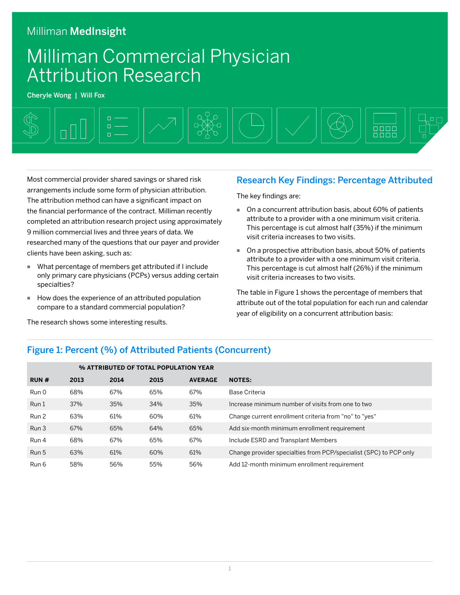### Milliman MedInsight

# Milliman Commercial Physician Attribution Research

Cheryle Wong | Will Fox



Most commercial provider shared savings or shared risk arrangements include some form of physician attribution. The attribution method can have a significant impact on the financial performance of the contract. Milliman recently completed an attribution research project using approximately 9 million commercial lives and three years of data. We researched many of the questions that our payer and provider clients have been asking, such as:

- What percentage of members get attributed if I include only primary care physicians (PCPs) versus adding certain specialties?
- How does the experience of an attributed population compare to a standard commercial population?

The research shows some interesting results.

#### Research Key Findings: Percentage Attributed

The key findings are:

- On a concurrent attribution basis, about 60% of patients attribute to a provider with a one minimum visit criteria. This percentage is cut almost half (35%) if the minimum visit criteria increases to two visits.
- On a prospective attribution basis, about 50% of patients attribute to a provider with a one minimum visit criteria. This percentage is cut almost half (26%) if the minimum visit criteria increases to two visits.

The table in Figure 1 shows the percentage of members that attribute out of the total population for each run and calendar year of eligibility on a concurrent attribution basis:

#### Figure 1: Percent (%) of Attributed Patients (Concurrent)

|       |      |      | % ATTRIBUTED OF TOTAL POPULATION YEAR |                |                                                                   |
|-------|------|------|---------------------------------------|----------------|-------------------------------------------------------------------|
| RUN#  | 2013 | 2014 | 2015                                  | <b>AVERAGE</b> | <b>NOTES:</b>                                                     |
| Run 0 | 68%  | 67%  | 65%                                   | 67%            | Base Criteria                                                     |
| Run 1 | 37%  | 35%  | 34%                                   | 35%            | Increase minimum number of visits from one to two                 |
| Run 2 | 63%  | 61%  | 60%                                   | 61%            | Change current enrollment criteria from "no" to "yes"             |
| Run 3 | 67%  | 65%  | 64%                                   | 65%            | Add six-month minimum enrollment requirement                      |
| Run 4 | 68%  | 67%  | 65%                                   | 67%            | Include ESRD and Transplant Members                               |
| Run 5 | 63%  | 61%  | 60%                                   | 61%            | Change provider specialties from PCP/specialist (SPC) to PCP only |
| Run 6 | 58%  | 56%  | 55%                                   | 56%            | Add 12-month minimum enrollment requirement                       |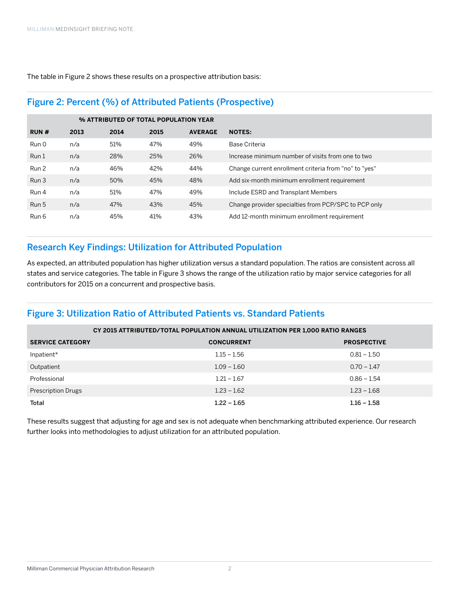The table in Figure 2 shows these results on a prospective attribution basis:

#### Figure 2: Percent (%) of Attributed Patients (Prospective)

|       |      |      | % ATTRIBUTED OF TOTAL POPULATION YEAR |                |                                                       |
|-------|------|------|---------------------------------------|----------------|-------------------------------------------------------|
| RUN#  | 2013 | 2014 | 2015                                  | <b>AVERAGE</b> | <b>NOTES:</b>                                         |
| Run 0 | n/a  | 51%  | 47%                                   | 49%            | Base Criteria                                         |
| Run 1 | n/a  | 28%  | 25%                                   | 26%            | Increase minimum number of visits from one to two     |
| Run 2 | n/a  | 46%  | 42%                                   | 44%            | Change current enrollment criteria from "no" to "yes" |
| Run 3 | n/a  | 50%  | 45%                                   | 48%            | Add six-month minimum enrollment requirement          |
| Run 4 | n/a  | 51%  | 47%                                   | 49%            | Include ESRD and Transplant Members                   |
| Run 5 | n/a  | 47%  | 43%                                   | 45%            | Change provider specialties from PCP/SPC to PCP only  |
| Run 6 | n/a  | 45%  | 41%                                   | 43%            | Add 12-month minimum enrollment requirement           |

#### Research Key Findings: Utilization for Attributed Population

As expected, an attributed population has higher utilization versus a standard population. The ratios are consistent across all states and service categories. The table in Figure 3 shows the range of the utilization ratio by major service categories for all contributors for 2015 on a concurrent and prospective basis.

#### Figure 3: Utilization Ratio of Attributed Patients vs. Standard Patients

|                           | CY 2015 ATTRIBUTED/TOTAL POPULATION ANNUAL UTILIZATION PER 1,000 RATIO RANGES |                    |  |  |  |  |  |  |  |
|---------------------------|-------------------------------------------------------------------------------|--------------------|--|--|--|--|--|--|--|
| <b>SERVICE CATEGORY</b>   | <b>CONCURRENT</b>                                                             | <b>PROSPECTIVE</b> |  |  |  |  |  |  |  |
| Inpatient*                | $1.15 - 1.56$                                                                 | $0.81 - 1.50$      |  |  |  |  |  |  |  |
| Outpatient                | $1.09 - 1.60$                                                                 | $0.70 - 1.47$      |  |  |  |  |  |  |  |
| Professional              | $1.21 - 1.67$                                                                 | $0.86 - 1.54$      |  |  |  |  |  |  |  |
| <b>Prescription Drugs</b> | $1.23 - 1.62$                                                                 | $1.23 - 1.68$      |  |  |  |  |  |  |  |
| Total                     | $1.22 - 1.65$                                                                 | $1.16 - 1.58$      |  |  |  |  |  |  |  |

These results suggest that adjusting for age and sex is not adequate when benchmarking attributed experience. Our research further looks into methodologies to adjust utilization for an attributed population.